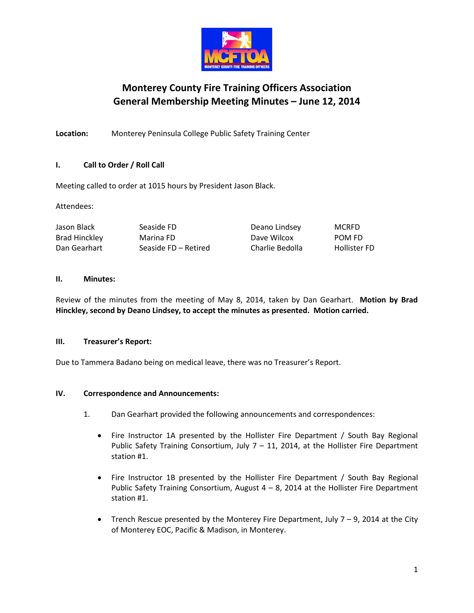

# **Monterey County Fire Training Officers Association General Membership Meeting Minutes – June 12, 2014**

**Location:** Monterey Peninsula College Public Safety Training Center

# **I. Call to Order / Roll Call**

Meeting called to order at 1015 hours by President Jason Black.

Attendees:

| Jason Black   | Seaside FD           | Deano Lindsey   | <b>MCRFD</b>        |
|---------------|----------------------|-----------------|---------------------|
| Brad Hinckley | Marina FD            | Dave Wilcox     | POM FD              |
| Dan Gearhart  | Seaside FD – Retired | Charlie Bedolla | <b>Hollister FD</b> |

## **II. Minutes:**

Review of the minutes from the meeting of May 8, 2014, taken by Dan Gearhart. **Motion by Brad Hinckley, second by Deano Lindsey, to accept the minutes as presented. Motion carried.**

# **III. Treasurer's Report:**

Due to Tammera Badano being on medical leave, there was no Treasurer's Report.

# **IV. Correspondence and Announcements:**

- 1. Dan Gearhart provided the following announcements and correspondences:
	- Fire Instructor 1A presented by the Hollister Fire Department / South Bay Regional Public Safety Training Consortium, July  $7 - 11$ , 2014, at the Hollister Fire Department station #1.
	- Fire Instructor 1B presented by the Hollister Fire Department / South Bay Regional Public Safety Training Consortium, August  $4 - 8$ , 2014 at the Hollister Fire Department station #1.
	- Trench Rescue presented by the Monterey Fire Department, July  $7 9$ , 2014 at the City of Monterey EOC, Pacific & Madison, in Monterey.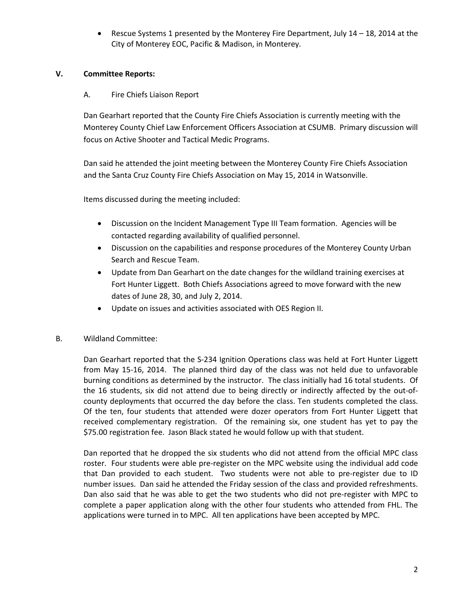• Rescue Systems 1 presented by the Monterey Fire Department, July 14 – 18, 2014 at the City of Monterey EOC, Pacific & Madison, in Monterey.

## **V. Committee Reports:**

## A. Fire Chiefs Liaison Report

Dan Gearhart reported that the County Fire Chiefs Association is currently meeting with the Monterey County Chief Law Enforcement Officers Association at CSUMB. Primary discussion will focus on Active Shooter and Tactical Medic Programs.

Dan said he attended the joint meeting between the Monterey County Fire Chiefs Association and the Santa Cruz County Fire Chiefs Association on May 15, 2014 in Watsonville.

Items discussed during the meeting included:

- Discussion on the Incident Management Type III Team formation. Agencies will be contacted regarding availability of qualified personnel.
- Discussion on the capabilities and response procedures of the Monterey County Urban Search and Rescue Team.
- Update from Dan Gearhart on the date changes for the wildland training exercises at Fort Hunter Liggett. Both Chiefs Associations agreed to move forward with the new dates of June 28, 30, and July 2, 2014.
- Update on issues and activities associated with OES Region II.

# B. Wildland Committee:

Dan Gearhart reported that the S-234 Ignition Operations class was held at Fort Hunter Liggett from May 15-16, 2014. The planned third day of the class was not held due to unfavorable burning conditions as determined by the instructor. The class initially had 16 total students. Of the 16 students, six did not attend due to being directly or indirectly affected by the out-ofcounty deployments that occurred the day before the class. Ten students completed the class. Of the ten, four students that attended were dozer operators from Fort Hunter Liggett that received complementary registration. Of the remaining six, one student has yet to pay the \$75.00 registration fee. Jason Black stated he would follow up with that student.

Dan reported that he dropped the six students who did not attend from the official MPC class roster. Four students were able pre-register on the MPC website using the individual add code that Dan provided to each student. Two students were not able to pre-register due to ID number issues. Dan said he attended the Friday session of the class and provided refreshments. Dan also said that he was able to get the two students who did not pre-register with MPC to complete a paper application along with the other four students who attended from FHL. The applications were turned in to MPC. All ten applications have been accepted by MPC.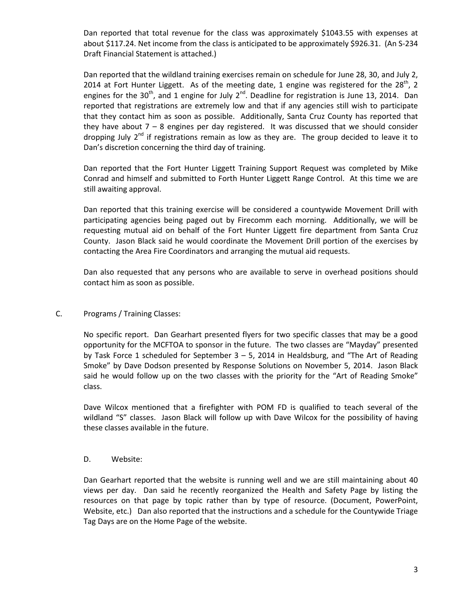Dan reported that total revenue for the class was approximately \$1043.55 with expenses at about \$117.24. Net income from the class is anticipated to be approximately \$926.31. (An S-234 Draft Financial Statement is attached.)

Dan reported that the wildland training exercises remain on schedule for June 28, 30, and July 2, 2014 at Fort Hunter Liggett. As of the meeting date, 1 engine was registered for the 28<sup>th</sup>, 2 engines for the 30<sup>th</sup>, and 1 engine for July 2<sup>nd</sup>. Deadline for registration is June 13, 2014. Dan reported that registrations are extremely low and that if any agencies still wish to participate that they contact him as soon as possible. Additionally, Santa Cruz County has reported that they have about  $7 - 8$  engines per day registered. It was discussed that we should consider dropping July  $2^{nd}$  if registrations remain as low as they are. The group decided to leave it to Dan's discretion concerning the third day of training.

Dan reported that the Fort Hunter Liggett Training Support Request was completed by Mike Conrad and himself and submitted to Forth Hunter Liggett Range Control. At this time we are still awaiting approval.

Dan reported that this training exercise will be considered a countywide Movement Drill with participating agencies being paged out by Firecomm each morning. Additionally, we will be requesting mutual aid on behalf of the Fort Hunter Liggett fire department from Santa Cruz County. Jason Black said he would coordinate the Movement Drill portion of the exercises by contacting the Area Fire Coordinators and arranging the mutual aid requests.

Dan also requested that any persons who are available to serve in overhead positions should contact him as soon as possible.

## C. Programs / Training Classes:

No specific report. Dan Gearhart presented flyers for two specific classes that may be a good opportunity for the MCFTOA to sponsor in the future. The two classes are "Mayday" presented by Task Force 1 scheduled for September 3 – 5, 2014 in Healdsburg, and "The Art of Reading Smoke" by Dave Dodson presented by Response Solutions on November 5, 2014. Jason Black said he would follow up on the two classes with the priority for the "Art of Reading Smoke" class.

Dave Wilcox mentioned that a firefighter with POM FD is qualified to teach several of the wildland "S" classes. Jason Black will follow up with Dave Wilcox for the possibility of having these classes available in the future.

## D. Website:

Dan Gearhart reported that the website is running well and we are still maintaining about 40 views per day. Dan said he recently reorganized the Health and Safety Page by listing the resources on that page by topic rather than by type of resource. (Document, PowerPoint, Website, etc.) Dan also reported that the instructions and a schedule for the Countywide Triage Tag Days are on the Home Page of the website.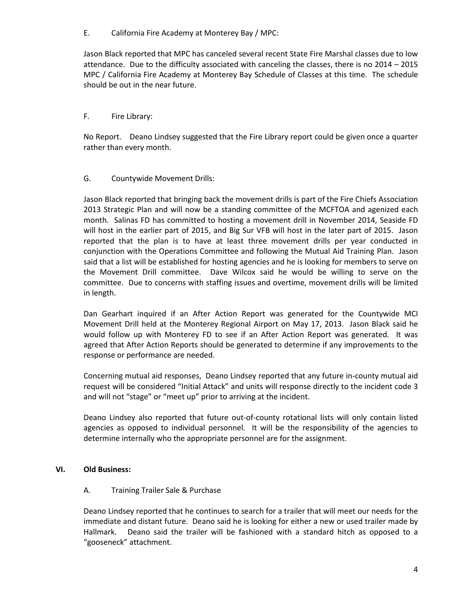E. California Fire Academy at Monterey Bay / MPC:

Jason Black reported that MPC has canceled several recent State Fire Marshal classes due to low attendance. Due to the difficulty associated with canceling the classes, there is no 2014 – 2015 MPC / California Fire Academy at Monterey Bay Schedule of Classes at this time. The schedule should be out in the near future.

# F. Fire Library:

No Report. Deano Lindsey suggested that the Fire Library report could be given once a quarter rather than every month.

## G. Countywide Movement Drills:

Jason Black reported that bringing back the movement drills is part of the Fire Chiefs Association 2013 Strategic Plan and will now be a standing committee of the MCFTOA and agenized each month. Salinas FD has committed to hosting a movement drill in November 2014, Seaside FD will host in the earlier part of 2015, and Big Sur VFB will host in the later part of 2015. Jason reported that the plan is to have at least three movement drills per year conducted in conjunction with the Operations Committee and following the Mutual Aid Training Plan. Jason said that a list will be established for hosting agencies and he is looking for members to serve on the Movement Drill committee. Dave Wilcox said he would be willing to serve on the committee. Due to concerns with staffing issues and overtime, movement drills will be limited in length.

Dan Gearhart inquired if an After Action Report was generated for the Countywide MCI Movement Drill held at the Monterey Regional Airport on May 17, 2013. Jason Black said he would follow up with Monterey FD to see if an After Action Report was generated. It was agreed that After Action Reports should be generated to determine if any improvements to the response or performance are needed.

Concerning mutual aid responses, Deano Lindsey reported that any future in-county mutual aid request will be considered "Initial Attack" and units will response directly to the incident code 3 and will not "stage" or "meet up" prior to arriving at the incident.

Deano Lindsey also reported that future out-of-county rotational lists will only contain listed agencies as opposed to individual personnel. It will be the responsibility of the agencies to determine internally who the appropriate personnel are for the assignment.

## **VI. Old Business:**

## A. Training Trailer Sale & Purchase

Deano Lindsey reported that he continues to search for a trailer that will meet our needs for the immediate and distant future. Deano said he is looking for either a new or used trailer made by Hallmark. Deano said the trailer will be fashioned with a standard hitch as opposed to a "gooseneck" attachment.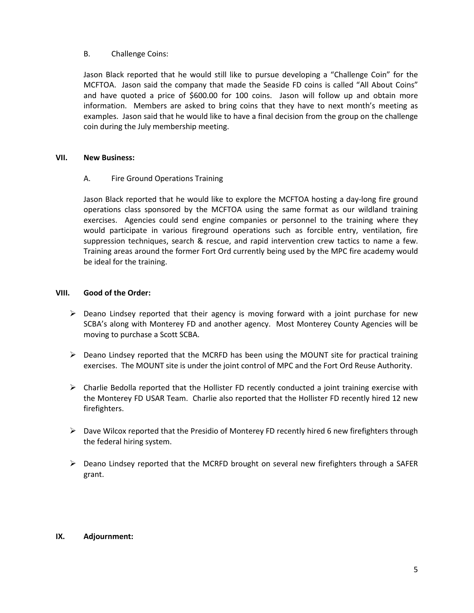#### B. Challenge Coins:

Jason Black reported that he would still like to pursue developing a "Challenge Coin" for the MCFTOA. Jason said the company that made the Seaside FD coins is called "All About Coins" and have quoted a price of \$600.00 for 100 coins. Jason will follow up and obtain more information. Members are asked to bring coins that they have to next month's meeting as examples. Jason said that he would like to have a final decision from the group on the challenge coin during the July membership meeting.

#### **VII. New Business:**

## A. Fire Ground Operations Training

Jason Black reported that he would like to explore the MCFTOA hosting a day-long fire ground operations class sponsored by the MCFTOA using the same format as our wildland training exercises. Agencies could send engine companies or personnel to the training where they would participate in various fireground operations such as forcible entry, ventilation, fire suppression techniques, search & rescue, and rapid intervention crew tactics to name a few. Training areas around the former Fort Ord currently being used by the MPC fire academy would be ideal for the training.

#### **VIII. Good of the Order:**

- $\triangleright$  Deano Lindsey reported that their agency is moving forward with a joint purchase for new SCBA's along with Monterey FD and another agency. Most Monterey County Agencies will be moving to purchase a Scott SCBA.
- $\triangleright$  Deano Lindsey reported that the MCRFD has been using the MOUNT site for practical training exercises. The MOUNT site is under the joint control of MPC and the Fort Ord Reuse Authority.
- $\triangleright$  Charlie Bedolla reported that the Hollister FD recently conducted a joint training exercise with the Monterey FD USAR Team. Charlie also reported that the Hollister FD recently hired 12 new firefighters.
- $\triangleright$  Dave Wilcox reported that the Presidio of Monterey FD recently hired 6 new firefighters through the federal hiring system.
- $\triangleright$  Deano Lindsey reported that the MCRFD brought on several new firefighters through a SAFER grant.

## **IX. Adjournment:**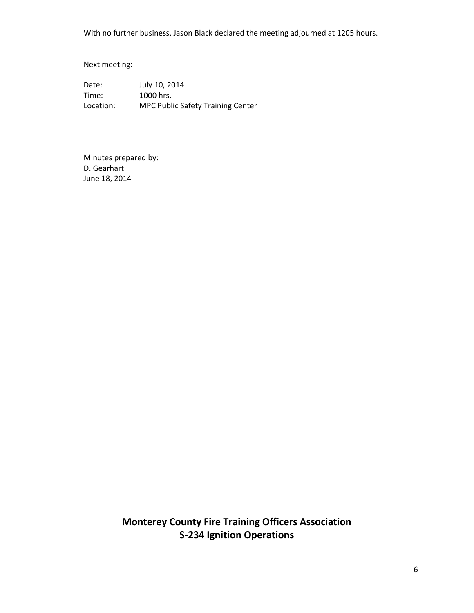With no further business, Jason Black declared the meeting adjourned at 1205 hours.

Next meeting:

Date: July 10, 2014 Time: 1000 hrs. Location: MPC Public Safety Training Center

Minutes prepared by: D. Gearhart June 18, 2014

> **Monterey County Fire Training Officers Association S-234 Ignition Operations**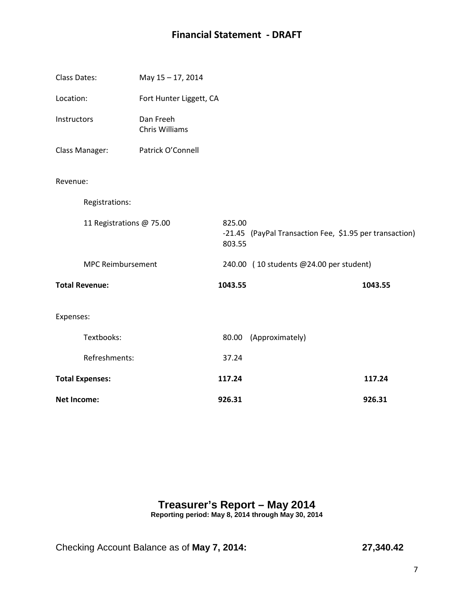# **Financial Statement - DRAFT**

| <b>Class Dates:</b>      | May 15-17, 2014             |                  |                                                         |         |
|--------------------------|-----------------------------|------------------|---------------------------------------------------------|---------|
| Location:                | Fort Hunter Liggett, CA     |                  |                                                         |         |
| Instructors              | Dan Freeh<br>Chris Williams |                  |                                                         |         |
| Class Manager:           | Patrick O'Connell           |                  |                                                         |         |
| Revenue:                 |                             |                  |                                                         |         |
| Registrations:           |                             |                  |                                                         |         |
| 11 Registrations @ 75.00 |                             | 825.00<br>803.55 | -21.45 (PayPal Transaction Fee, \$1.95 per transaction) |         |
| <b>MPC Reimbursement</b> |                             |                  | 240.00 (10 students @24.00 per student)                 |         |
| <b>Total Revenue:</b>    |                             | 1043.55          |                                                         | 1043.55 |
| Expenses:                |                             |                  |                                                         |         |
| Textbooks:               |                             |                  | 80.00 (Approximately)                                   |         |
| Refreshments:            |                             | 37.24            |                                                         |         |
| <b>Total Expenses:</b>   |                             | 117.24           |                                                         | 117.24  |
| <b>Net Income:</b>       |                             | 926.31           |                                                         | 926.31  |

# **Treasurer's Report – May 2014 Reporting period: May 8, 2014 through May 30, 2014**

Checking Account Balance as of **May 7, 2014: 27,340.42**